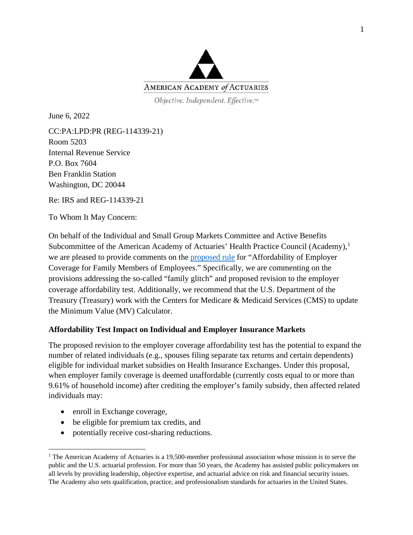

Objective. Independent. Effective.™

June 6, 2022

CC:PA:LPD:PR (REG-114339-21) Room 5203 Internal Revenue Service P.O. Box 7604 Ben Franklin Station Washington, DC 20044

Re: IRS and REG-114339-21

To Whom It May Concern:

On behalf of the Individual and Small Group Markets Committee and Active Benefits Subcommittee of the American Academy of Actuaries' Health Practice Council (Academy),<sup>[1](#page-0-0)</sup> we are pleased to provide comments on the [proposed rule](https://www.federalregister.gov/documents/2022/04/07/2022-07158/affordability-of-employer-coverage-for-family-members-of-employees) for "Affordability of Employer Coverage for Family Members of Employees." Specifically, we are commenting on the provisions addressing the so-called "family glitch" and proposed revision to the employer coverage affordability test. Additionally, we recommend that the U.S. Department of the Treasury (Treasury) work with the Centers for Medicare & Medicaid Services (CMS) to update the Minimum Value (MV) Calculator.

## **Affordability Test Impact on Individual and Employer Insurance Markets**

The proposed revision to the employer coverage affordability test has the potential to expand the number of related individuals (e.g., spouses filing separate tax returns and certain dependents) eligible for individual market subsidies on Health Insurance Exchanges. Under this proposal, when employer family coverage is deemed unaffordable (currently costs equal to or more than 9.61% of household income) after crediting the employer's family subsidy, then affected related individuals may:

- enroll in Exchange coverage,
- be eligible for premium tax credits, and
- potentially receive cost-sharing reductions.

<span id="page-0-0"></span><sup>&</sup>lt;sup>1</sup> The American Academy of Actuaries is a 19,500-member professional association whose mission is to serve the public and the U.S. actuarial profession. For more than 50 years, the Academy has assisted public policymakers on all levels by providing leadership, objective expertise, and actuarial advice on risk and financial security issues. The Academy also sets qualification, practice, and professionalism standards for actuaries in the United States.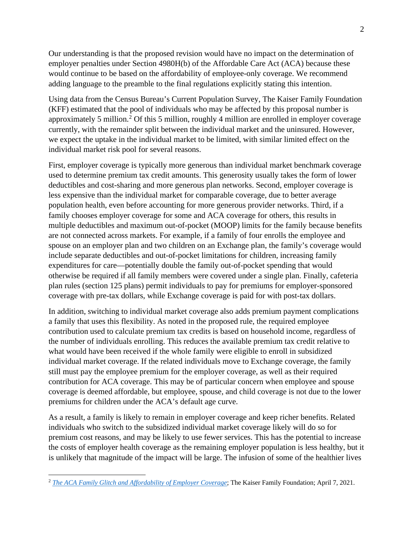Our understanding is that the proposed revision would have no impact on the determination of employer penalties under Section 4980H(b) of the Affordable Care Act (ACA) because these would continue to be based on the affordability of employee-only coverage. We recommend adding language to the preamble to the final regulations explicitly stating this intention.

Using data from the Census Bureau's Current Population Survey, The Kaiser Family Foundation (KFF) estimated that the pool of individuals who may be affected by this proposal number is approximately 5 million.<sup>[2](#page-1-0)</sup> Of this 5 million, roughly 4 million are enrolled in employer coverage currently, with the remainder split between the individual market and the uninsured. However, we expect the uptake in the individual market to be limited, with similar limited effect on the individual market risk pool for several reasons.

First, employer coverage is typically more generous than individual market benchmark coverage used to determine premium tax credit amounts. This generosity usually takes the form of lower deductibles and cost-sharing and more generous plan networks. Second, employer coverage is less expensive than the individual market for comparable coverage, due to better average population health, even before accounting for more generous provider networks. Third, if a family chooses employer coverage for some and ACA coverage for others, this results in multiple deductibles and maximum out-of-pocket (MOOP) limits for the family because benefits are not connected across markets. For example, if a family of four enrolls the employee and spouse on an employer plan and two children on an Exchange plan, the family's coverage would include separate deductibles and out-of-pocket limitations for children, increasing family expenditures for care—potentially double the family out-of-pocket spending that would otherwise be required if all family members were covered under a single plan. Finally, cafeteria plan rules (section 125 plans) permit individuals to pay for premiums for employer-sponsored coverage with pre-tax dollars, while Exchange coverage is paid for with post-tax dollars.

In addition, switching to individual market coverage also adds premium payment complications a family that uses this flexibility. As noted in the proposed rule, the required employee contribution used to calculate premium tax credits is based on household income, regardless of the number of individuals enrolling. This reduces the available premium tax credit relative to what would have been received if the whole family were eligible to enroll in subsidized individual market coverage. If the related individuals move to Exchange coverage, the family still must pay the employee premium for the employer coverage, as well as their required contribution for ACA coverage. This may be of particular concern when employee and spouse coverage is deemed affordable, but employee, spouse, and child coverage is not due to the lower premiums for children under the ACA's default age curve.

As a result, a family is likely to remain in employer coverage and keep richer benefits. Related individuals who switch to the subsidized individual market coverage likely will do so for premium cost reasons, and may be likely to use fewer services. This has the potential to increase the costs of employer health coverage as the remaining employer population is less healthy, but it is unlikely that magnitude of the impact will be large. The infusion of some of the healthier lives

<span id="page-1-0"></span><sup>2</sup> *[The ACA Family Glitch and Affordability of Employer Coverage](https://www.kff.org/health-reform/issue-brief/the-aca-family-glitch-and-affordability-of-employer-coverage/)*; The Kaiser Family Foundation; April 7, 2021.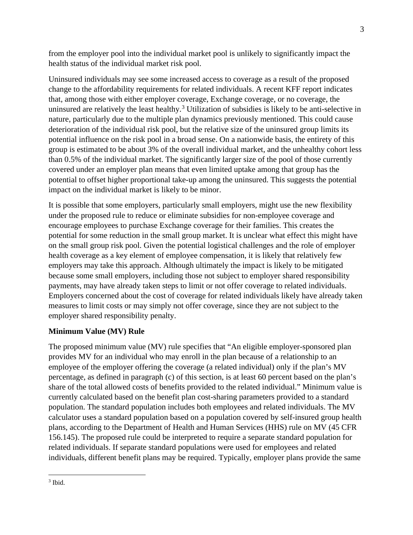from the employer pool into the individual market pool is unlikely to significantly impact the health status of the individual market risk pool.

Uninsured individuals may see some increased access to coverage as a result of the proposed change to the affordability requirements for related individuals. A recent KFF report indicates that, among those with either employer coverage, Exchange coverage, or no coverage, the uninsured are relatively the least healthy.<sup>[3](#page-2-0)</sup> Utilization of subsidies is likely to be anti-selective in nature, particularly due to the multiple plan dynamics previously mentioned. This could cause deterioration of the individual risk pool, but the relative size of the uninsured group limits its potential influence on the risk pool in a broad sense. On a nationwide basis, the entirety of this group is estimated to be about 3% of the overall individual market, and the unhealthy cohort less than 0.5% of the individual market. The significantly larger size of the pool of those currently covered under an employer plan means that even limited uptake among that group has the potential to offset higher proportional take-up among the uninsured. This suggests the potential impact on the individual market is likely to be minor.

It is possible that some employers, particularly small employers, might use the new flexibility under the proposed rule to reduce or eliminate subsidies for non-employee coverage and encourage employees to purchase Exchange coverage for their families. This creates the potential for some reduction in the small group market. It is unclear what effect this might have on the small group risk pool. Given the potential logistical challenges and the role of employer health coverage as a key element of employee compensation, it is likely that relatively few employers may take this approach. Although ultimately the impact is likely to be mitigated because some small employers, including those not subject to employer shared responsibility payments, may have already taken steps to limit or not offer coverage to related individuals. Employers concerned about the cost of coverage for related individuals likely have already taken measures to limit costs or may simply not offer coverage, since they are not subject to the employer shared responsibility penalty.

## **Minimum Value (MV) Rule**

The proposed minimum value (MV) rule specifies that "An eligible employer-sponsored plan provides MV for an individual who may enroll in the plan because of a relationship to an employee of the employer offering the coverage (a related individual) only if the plan's MV percentage, as defined in paragraph (c) of this section, is at least 60 percent based on the plan's share of the total allowed costs of benefits provided to the related individual." Minimum value is currently calculated based on the benefit plan cost-sharing parameters provided to a standard population. The standard population includes both employees and related individuals. The MV calculator uses a standard population based on a population covered by self-insured group health plans, according to the Department of Health and Human Services (HHS) rule on MV (45 CFR 156.145). The proposed rule could be interpreted to require a separate standard population for related individuals. If separate standard populations were used for employees and related individuals, different benefit plans may be required. Typically, employer plans provide the same

<span id="page-2-0"></span><sup>3</sup> Ibid.